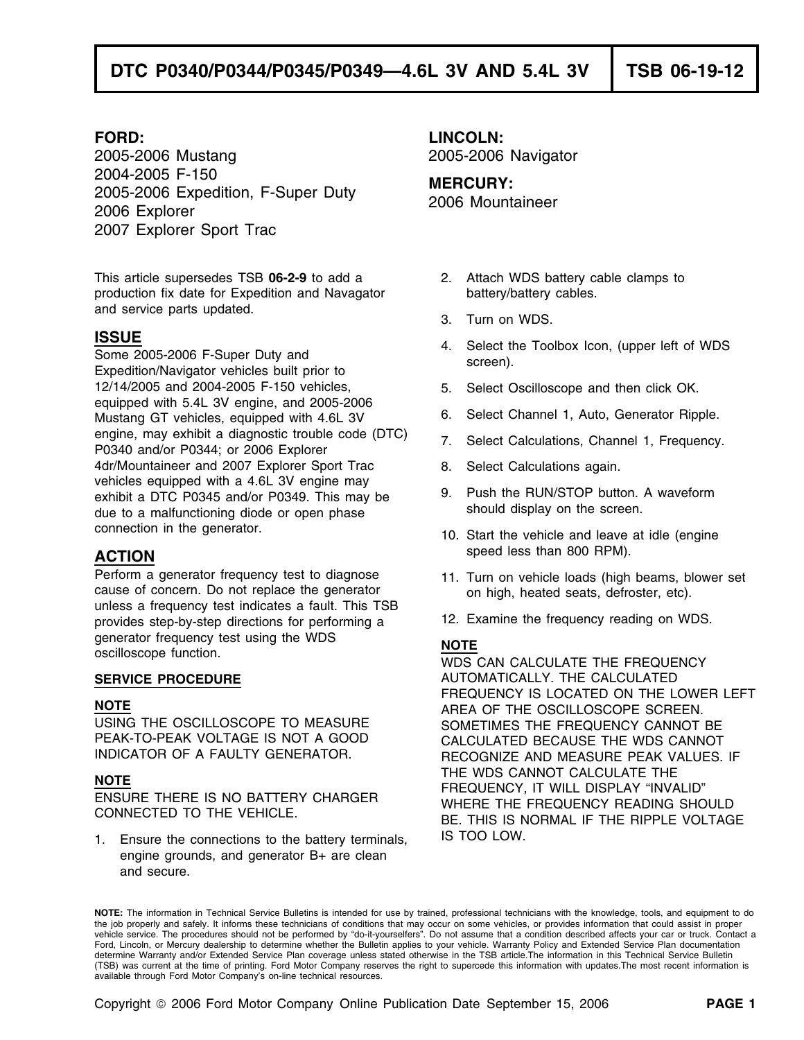2005-2006 Mustang 2005-2006 Navigator 2004-2005 F-150<br>2005-2006 Expedition, F-Super Duty **MERCURY:**<br>2006 Explorer 2006 Explorer 2007 Explorer Sport Trac

This article supersedes TSB **06-2-9** to add a 2. Attach WDS battery cable clamps to production fix date for Expedition and Navagator battery/battery cables. and service parts updated. The same service parts updated.

12/14/2005 and 2004-2005 F-150 vehicles, 6. Select Oscilloscope and then click OK. equipped with 5.4L 3V engine, and 2005-2006 Mustang GT vehicles, equipped with 4.6L 3V 6. Select Channel 1, Auto, Generator Ripple. engine, may exhibit a diagnostic trouble code (DTC) <br>P0340 and/or P0344; or 2006 Explorer<br>P0340 and/or P0344; or 2006 Explorer 4dr/Mountaineer and 2007 Explorer Sport Trac 8. Select Calculations again. vehicles equipped with a 4.6L 3V engine may exhibit a DTC P0345 and/or P0349. This may be 9. Push the RUN/STOP button. A waveform due to a malfunctioning diode or open phase should display on the screen. due to a malfunctioning diode or open phase connection in the generator. 10. Start the vehicle and leave at idle (engine

Perform a generator frequency test to diagnose 11. Turn on vehicle loads (high beams, blower set cause of concern. Do not replace the generator on high, heated seats, defroster, etc). unless a frequency test indicates a fault. This TSB provides step-by-step directions for performing a 12. Examine the frequency reading on WDS. generator frequency test using the WDS<br> **NOTE** oscilloscope function. WDS CAN CALCULATE THE FREQUENCY

1. Ensure the connections to the battery terminals, IS TOO LOW. engine grounds, and generator B+ are clean and secure.

**FORD: LINCOLN:**

- 
- 
- **ISSUE**<br>
Some 2005-2006 F-Super Duty and Some 2005-2006 F-Super Duty and screen).<br>
Expedition/Navigator vehicles built prior to screen).
	-
	-
	-
	-
	-
- speed less than 800 RPM). **ACTION**
	-
	-

**SERVICE PROCEDURE** AUTOMATICALLY. THE CALCULATED FREQUENCY IS LOCATED ON THE LOWER LEFT **NOTE** AREA OF THE OSCILLOSCOPE SCREEN. USING THE OSCILLOSCOPE TO MEASURE SOMETIMES THE FREQUENCY CANNOT BE<br>PEAK-TO-PEAK VOLTAGE IS NOT A GOOD CALCULATED BECAUSE THE WDS CANNOT CALCULATED BECAUSE THE WDS CANNOT INDICATOR OF A FAULTY GENERATOR. RECOGNIZE AND MEASURE PEAK VALUES. IF NOTE<br>FREQUENCY, IT WILL DISPLAY "INVALID" FREQUENCY IT WILL DISPLAY "INVALID"<br>ENSURE THERE IS NO BATTERY CHARGER WHERE THE FREQUENCY READING SHOULD<br>BE. THIS IS NORMAL IF THE RIPPLE VOLTAGE

**NOTE:** The information in Technical Service Bulletins is intended for use by trained, professional technicians with the knowledge, tools, and equipment to do the job properly and safely. It informs these technicians of conditions that may occur on some vehicles, or provides information that could assist in proper<br>vehicle service. The procedures should not be performed by "do-it Ford, Lincoln, or Mercury dealership to determine whether the Bulletin applies to your vehicle. Warranty Policy and Extended Service Plan documentation determine Warranty and/or Extended Service Plan coverage unless stated otherwise in the TSB article.The information in this Technical Service Bulletin (TSB) was current at the time of printing. Ford Motor Company reserves the right to supercede this information with updates.The most recent information is available through Ford Motor Company's on-line technical resources.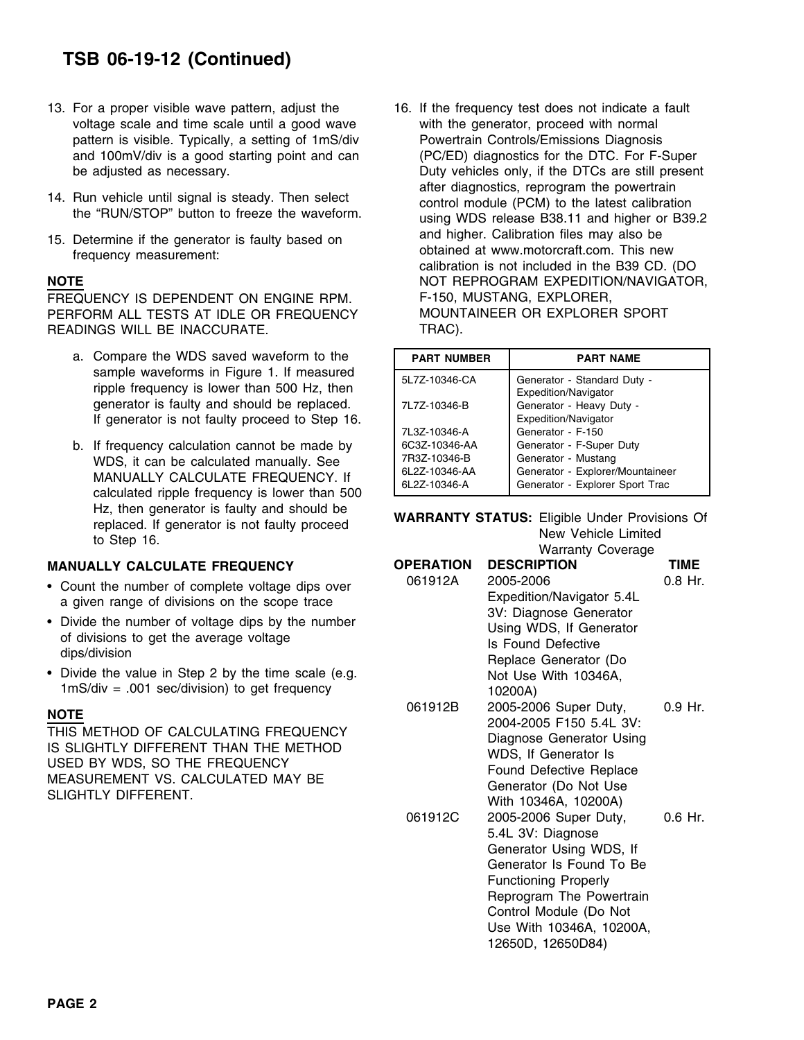# **TSB 06-19-12 (Continued)**

- 13. For a proper visible wave pattern, adjust the 16. If the frequency test does not indicate a fault voltage scale and time scale until a good wave with the generator, proceed with normal pattern is visible. Typically, a setting of 1mS/div Powertrain Controls/Emissions Diagnosis
- 
- 

FREQUENCY IS DEPENDENT ON ENGINE RPM. F-150, MUSTANG, EXPLORER, PERFORM ALL TESTS AT IDLE OR FREQUENCY MOUNTAINEER OR EXPLORER SPORT READINGS WILL BE INACCURATE. TRAC).

- a. Compare the WDS saved waveform to the sample waveforms in Figure 1. If measured ripple frequency is lower than 500 Hz, then generator is faulty and should be replaced. If generator is not faulty proceed to Step 16.
- b. If frequency calculation cannot be made by WDS, it can be calculated manually. See<br>MANUALLY CALCULATE FREQUENCY. If calculated ripple frequency is lower than 500 Hz, then generator is faulty and should be<br>
replaced. If generator is not faulty proceed<br>
to Step 16. Warranty Coverage New Vehicle Limited<br>
Warranty Coverage

## **MANUALLY CALCULATE FREQUENCY**

- Count the number of complete voltage dips over a given range of divisions on the scope trace
- Divide the number of voltage dips by the number of divisions to get the average voltage dips/division
- Divide the value in Step 2 by the time scale (e.g. Not Use With 10346A,  $1 \text{mS/div} = .001 \text{ sec/division}$  to get frequency

and 100mV/div is a good starting point and can (PC/ED) diagnostics for the DTC. For F-Super be adjusted as necessary. The processury of the DTCs are still present after diagnostics, reprogram the powertrain<br>the "RUN/STOP" button to freeze the waveform.<br>139.2 using WDS release B38.11 and higher or B39.2 15. Determine if the generator is faulty based on and higher. Calibration files may also be<br>frequency measurement: frequency measurement: calibration is not included in the B39 CD. (DO **NOTE** NOT REPROGRAM EXPEDITION/NAVIGATOR,

| <b>PART NUMBER</b> | <b>PART NAME</b>                                    |  |  |  |
|--------------------|-----------------------------------------------------|--|--|--|
| 5L7Z-10346-CA      | Generator - Standard Duty -<br>Expedition/Navigator |  |  |  |
| 7L7Z-10346-B       | Generator - Heavy Duty -<br>Expedition/Navigator    |  |  |  |
| 7L3Z-10346-A       | Generator - F-150                                   |  |  |  |
| 6C3Z-10346-AA      | Generator - F-Super Duty                            |  |  |  |
| 7R3Z-10346-B       | Generator - Mustang                                 |  |  |  |
| 6L2Z-10346-AA      | Generator - Explorer/Mountaineer                    |  |  |  |
| 6L2Z-10346-A       | Generator - Explorer Sport Trac                     |  |  |  |

|                                                                                                                                                                                                                                                                                                                                              |                                                                                                                                                                                          | wandiny covoidge                                                                                                                                                                                                               |                        |
|----------------------------------------------------------------------------------------------------------------------------------------------------------------------------------------------------------------------------------------------------------------------------------------------------------------------------------------------|------------------------------------------------------------------------------------------------------------------------------------------------------------------------------------------|--------------------------------------------------------------------------------------------------------------------------------------------------------------------------------------------------------------------------------|------------------------|
| <b>MANUALLY CALCULATE FREQUENCY</b>                                                                                                                                                                                                                                                                                                          | <b>OPERATION</b>                                                                                                                                                                         | <b>DESCRIPTION</b>                                                                                                                                                                                                             | <b>TIME</b>            |
| • Count the number of complete voltage dips over<br>a given range of divisions on the scope trace<br>• Divide the number of voltage dips by the number<br>of divisions to get the average voltage<br>dips/division<br>• Divide the value in Step 2 by the time scale (e.g.<br>$1 \text{mS/div} = .001 \text{ sec/division}$ to get frequency | 061912A<br>2005-2006<br>Expedition/Navigator 5.4L<br>3V: Diagnose Generator<br>Using WDS, If Generator<br>Is Found Defective<br>Replace Generator (Do<br>Not Use With 10346A,<br>10200A) |                                                                                                                                                                                                                                | $0.8$ Hr.              |
| NOTE<br>THIS METHOD OF CALCULATING FREQUENCY<br>IS SLIGHTLY DIFFERENT THAN THE METHOD<br>USED BY WDS, SO THE FREQUENCY<br>MEASUREMENT VS. CALCULATED MAY BE<br>SLIGHTLY DIFFERENT.                                                                                                                                                           | 061912B<br>061912C                                                                                                                                                                       | 2005-2006 Super Duty,<br>2004-2005 F150 5.4L 3V:<br>Diagnose Generator Using<br>WDS, If Generator Is<br>Found Defective Replace<br>Generator (Do Not Use<br>With 10346A, 10200A)<br>2005-2006 Super Duty,<br>5.4L 3V: Diagnose | $0.9$ Hr.<br>$0.6$ Hr. |
|                                                                                                                                                                                                                                                                                                                                              |                                                                                                                                                                                          | Generator Using WDS, If<br>Generator Is Found To Be<br><b>Functioning Properly</b><br>Reprogram The Powertrain<br>Control Module (Do Not<br>Use With 10346A, 10200A,<br>12650D, 12650D84)                                      |                        |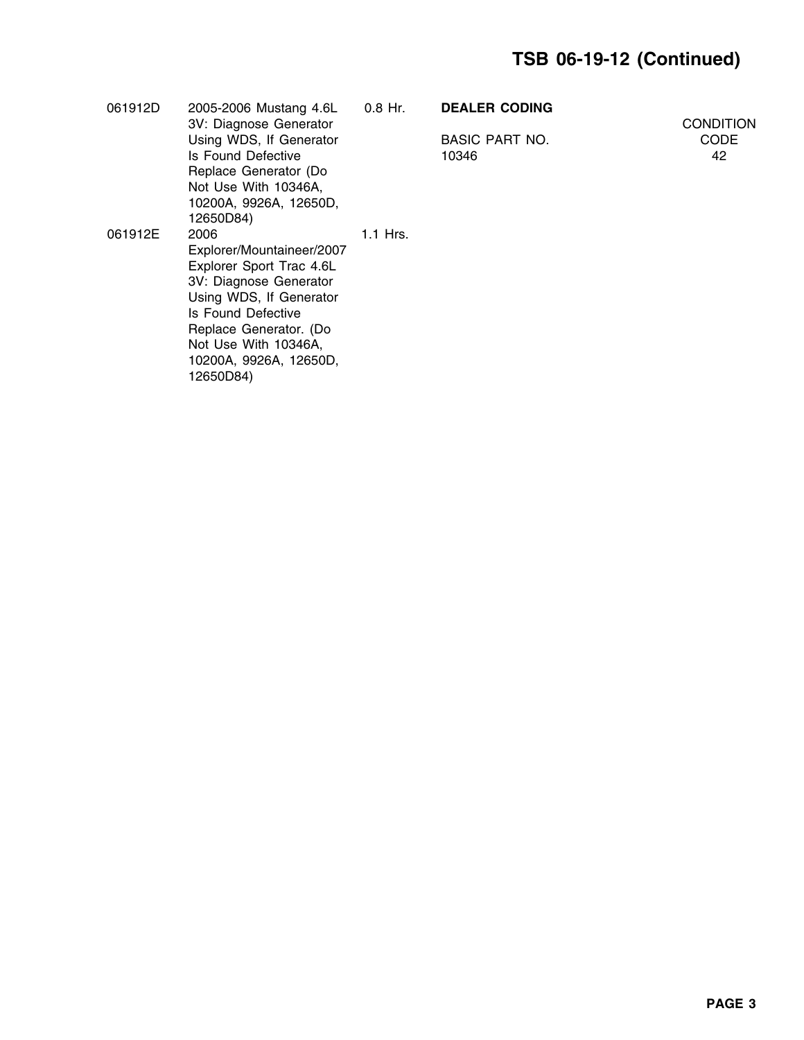| 061912D | 2005-2006 Mustang 4.6L<br>3V: Diagnose Generator | 0.8 Hr.    | <b>DEALER CODING</b>  | <b>CONDITION</b> |
|---------|--------------------------------------------------|------------|-----------------------|------------------|
|         | Using WDS, If Generator                          |            | <b>BASIC PART NO.</b> | <b>CODE</b>      |
|         | Is Found Defective                               |            | 10346                 | 42               |
|         | Replace Generator (Do                            |            |                       |                  |
|         | Not Use With 10346A,                             |            |                       |                  |
|         | 10200A, 9926A, 12650D,<br>12650D84)              |            |                       |                  |
| 061912E | 2006                                             | $1.1$ Hrs. |                       |                  |
|         | Explorer/Mountaineer/2007                        |            |                       |                  |
|         | Explorer Sport Trac 4.6L                         |            |                       |                  |
|         | 3V: Diagnose Generator                           |            |                       |                  |
|         | Using WDS, If Generator                          |            |                       |                  |
|         | Is Found Defective                               |            |                       |                  |
|         | Replace Generator. (Do                           |            |                       |                  |
|         | Not Use With 10346A,                             |            |                       |                  |
|         | 10200A, 9926A, 12650D,<br>12650D84)              |            |                       |                  |
|         |                                                  |            |                       |                  |